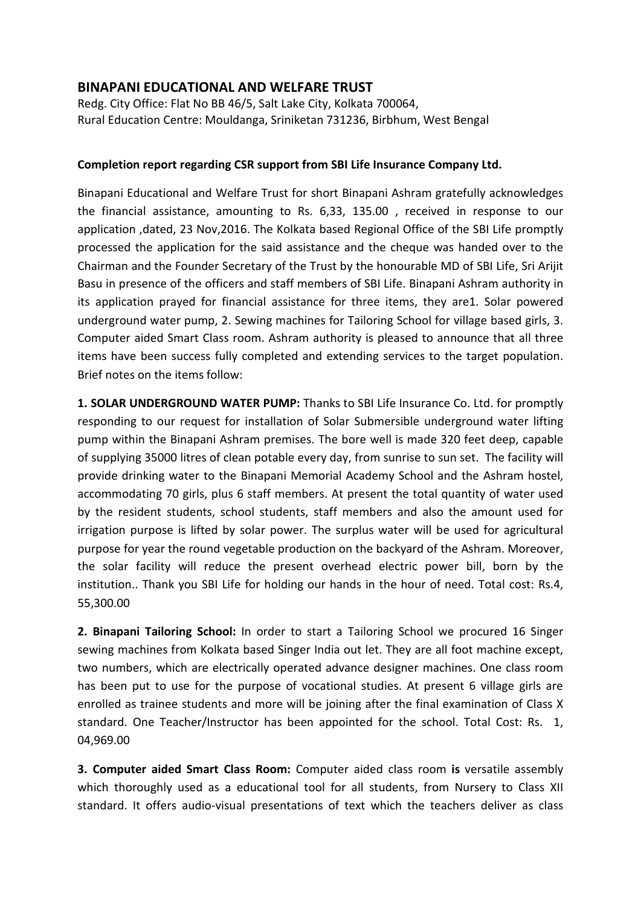## **BINAPANI EDUCATIONAL AND WELFARE TRUST**

Redg. City Office: Flat No BB 46/5, Salt Lake City, Kolkata 700064, Rural Education Centre: Mouldanga, Sriniketan 731236, Birbhum, West Bengal

## **Completion report regarding CSR support from SBI Life Insurance Company Ltd.**

Binapani Educational and Welfare Trust for short Binapani Ashram gratefully acknowledges the financial assistance, amounting to Rs. 6,33, 135.00 , received in response to our application ,dated, 23 Nov,2016. The Kolkata based Regional Office of the SBI Life promptly processed the application for the said assistance and the cheque was handed over to the Chairman and the Founder Secretary of the Trust by the honourable MD of SBI Life, Sri Arijit Basu in presence of the officers and staff members of SBI Life. Binapani Ashram authority in its application prayed for financial assistance for three items, they are1. Solar powered underground water pump, 2. Sewing machines for Tailoring School for village based girls, 3. Computer aided Smart Class room. Ashram authority is pleased to announce that all three items have been success fully completed and extending services to the target population. Brief notes on the items follow:

**1. SOLAR UNDERGROUND WATER PUMP:** Thanks to SBI Life Insurance Co. Ltd. for promptly responding to our request for installation of Solar Submersible underground water lifting pump within the Binapani Ashram premises. The bore well is made 320 feet deep, capable of supplying 35000 litres of clean potable every day, from sunrise to sun set. The facility will provide drinking water to the Binapani Memorial Academy School and the Ashram hostel, accommodating 70 girls, plus 6 staff members. At present the total quantity of water used by the resident students, school students, staff members and also the amount used for irrigation purpose is lifted by solar power. The surplus water will be used for agricultural purpose for year the round vegetable production on the backyard of the Ashram. Moreover, the solar facility will reduce the present overhead electric power bill, born by the institution.. Thank you SBI Life for holding our hands in the hour of need. Total cost: Rs.4, 55,300.00

**2. Binapani Tailoring School:** In order to start a Tailoring School we procured 16 Singer sewing machines from Kolkata based Singer India out let. They are all foot machine except, two numbers, which are electrically operated advance designer machines. One class room has been put to use for the purpose of vocational studies. At present 6 village girls are enrolled as trainee students and more will be joining after the final examination of Class X standard. One Teacher/Instructor has been appointed for the school. Total Cost: Rs. 1, 04,969.00

**3. Computer aided Smart Class Room:** Computer aided class room **is** versatile assembly which thoroughly used as a educational tool for all students, from Nursery to Class XII standard. It offers audio-visual presentations of text which the teachers deliver as class